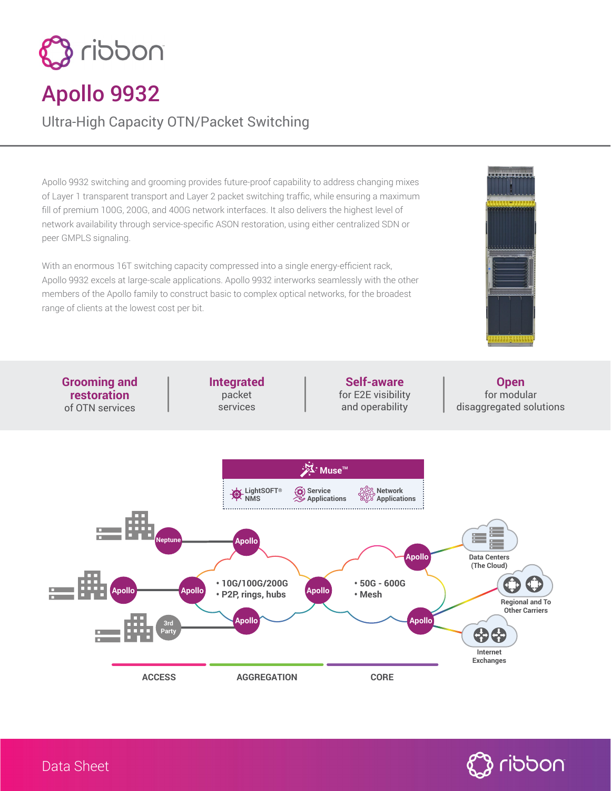

## Apollo 9932

Ultra-High Capacity OTN/Packet Switching

Apollo 9932 switching and grooming provides future-proof capability to address changing mixes of Layer 1 transparent transport and Layer 2 packet switching traffic, while ensuring a maximum fill of premium 100G, 200G, and 400G network interfaces. It also delivers the highest level of network availability through service-specific ASON restoration, using either centralized SDN or peer GMPLS signaling.

With an enormous 16T switching capacity compressed into a single energy-efficient rack, Apollo 9932 excels at large-scale applications. Apollo 9932 interworks seamlessly with the other members of the Apollo family to construct basic to complex optical networks, for the broadest range of clients at the lowest cost per bit.



**Grooming and restoration** of OTN services

**Integrated** packet services

**Self-aware** for E2E visibility and operability

**Open** for modular disaggregated solutions